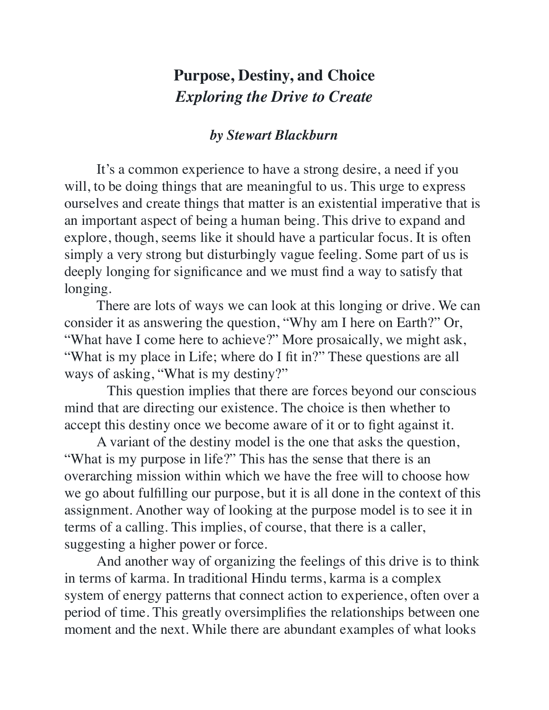## **Purpose, Destiny, and Choice** *Exploring the Drive to Create*

## *by Stewart Blackburn*

It's a common experience to have a strong desire, a need if you will, to be doing things that are meaningful to us. This urge to express ourselves and create things that matter is an existential imperative that is an important aspect of being a human being. This drive to expand and explore, though, seems like it should have a particular focus. It is often simply a very strong but disturbingly vague feeling. Some part of us is deeply longing for significance and we must find a way to satisfy that longing.

There are lots of ways we can look at this longing or drive. We can consider it as answering the question, "Why am I here on Earth?" Or, "What have I come here to achieve?" More prosaically, we might ask, "What is my place in Life; where do I fit in?" These questions are all ways of asking, "What is my destiny?"

 This question implies that there are forces beyond our conscious mind that are directing our existence. The choice is then whether to accept this destiny once we become aware of it or to fight against it.

A variant of the destiny model is the one that asks the question, "What is my purpose in life?" This has the sense that there is an overarching mission within which we have the free will to choose how we go about fulfilling our purpose, but it is all done in the context of this assignment. Another way of looking at the purpose model is to see it in terms of a calling. This implies, of course, that there is a caller, suggesting a higher power or force.

And another way of organizing the feelings of this drive is to think in terms of karma. In traditional Hindu terms, karma is a complex system of energy patterns that connect action to experience, often over a period of time. This greatly oversimplifies the relationships between one moment and the next. While there are abundant examples of what looks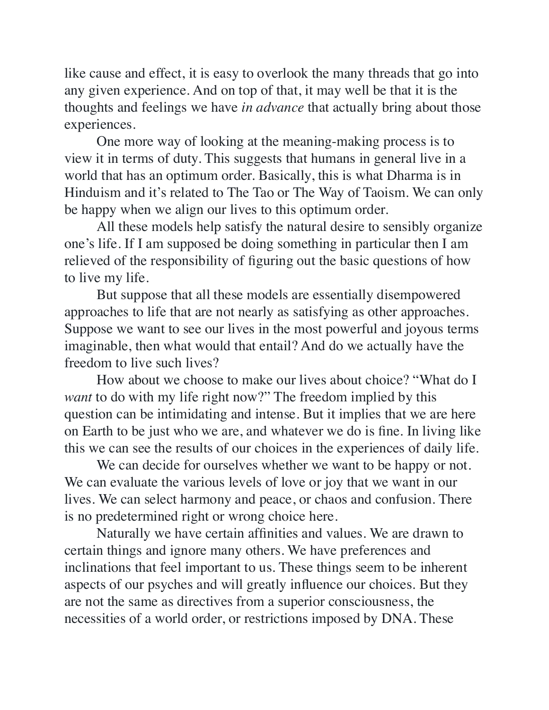like cause and effect, it is easy to overlook the many threads that go into any given experience. And on top of that, it may well be that it is the thoughts and feelings we have *in advance* that actually bring about those experiences.

One more way of looking at the meaning-making process is to view it in terms of duty. This suggests that humans in general live in a world that has an optimum order. Basically, this is what Dharma is in Hinduism and it's related to The Tao or The Way of Taoism. We can only be happy when we align our lives to this optimum order.

All these models help satisfy the natural desire to sensibly organize one's life. If I am supposed be doing something in particular then I am relieved of the responsibility of figuring out the basic questions of how to live my life.

But suppose that all these models are essentially disempowered approaches to life that are not nearly as satisfying as other approaches. Suppose we want to see our lives in the most powerful and joyous terms imaginable, then what would that entail? And do we actually have the freedom to live such lives?

How about we choose to make our lives about choice? "What do I *want* to do with my life right now?" The freedom implied by this question can be intimidating and intense. But it implies that we are here on Earth to be just who we are, and whatever we do is fine. In living like this we can see the results of our choices in the experiences of daily life.

We can decide for ourselves whether we want to be happy or not. We can evaluate the various levels of love or joy that we want in our lives. We can select harmony and peace, or chaos and confusion. There is no predetermined right or wrong choice here.

Naturally we have certain affinities and values. We are drawn to certain things and ignore many others. We have preferences and inclinations that feel important to us. These things seem to be inherent aspects of our psyches and will greatly influence our choices. But they are not the same as directives from a superior consciousness, the necessities of a world order, or restrictions imposed by DNA. These